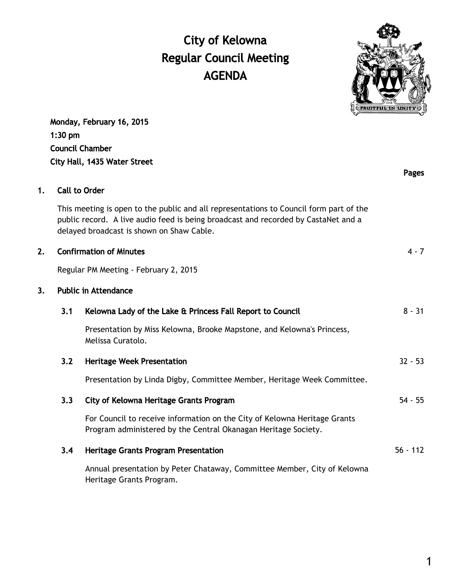# City of Kelowna Regular Council Meeting AGENDA



Pages

Monday, February 16, 2015 1:30 pm Council Chamber City Hall, 1435 Water Street

# 1. Call to Order

This meeting is open to the public and all representations to Council form part of the public record. A live audio feed is being broadcast and recorded by CastaNet and a delayed broadcast is shown on Shaw Cable.

# 2. Confirmation of Minutes 4 - 7

Regular PM Meeting - February 2, 2015

## 3. Public in Attendance

| 3.1 | Kelowna Lady of the Lake & Princess Fall Report to Council                                                                                  | $8 - 31$   |
|-----|---------------------------------------------------------------------------------------------------------------------------------------------|------------|
|     | Presentation by Miss Kelowna, Brooke Mapstone, and Kelowna's Princess,<br>Melissa Curatolo.                                                 |            |
| 3.2 | <b>Heritage Week Presentation</b>                                                                                                           | $32 - 53$  |
|     | Presentation by Linda Digby, Committee Member, Heritage Week Committee.                                                                     |            |
| 3.3 | City of Kelowna Heritage Grants Program                                                                                                     | $54 - 55$  |
|     | For Council to receive information on the City of Kelowna Heritage Grants<br>Program administered by the Central Okanagan Heritage Society. |            |
| 3.4 | <b>Heritage Grants Program Presentation</b>                                                                                                 | $56 - 112$ |
|     | Annual presentation by Peter Chataway, Committee Member, City of Kelowna<br>Heritage Grants Program.                                        |            |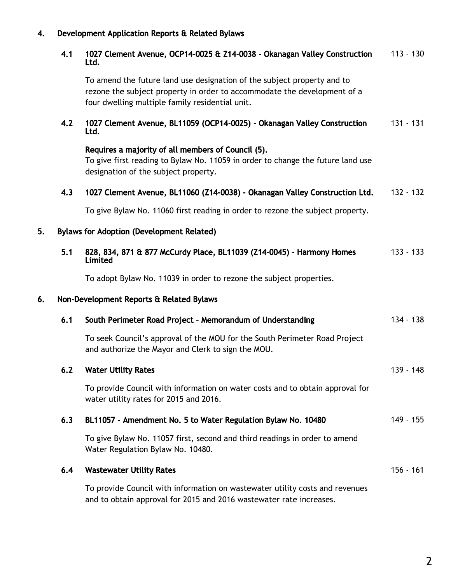# 4. Development Application Reports & Related Bylaws

| 4.1 1027 Clement Avenue, OCP14-0025 & Z14-0038 - Okanagan Valley Construction 113 - 130 |  |
|-----------------------------------------------------------------------------------------|--|
| Ltd.                                                                                    |  |

To amend the future land use designation of the subject property and to rezone the subject property in order to accommodate the development of a four dwelling multiple family residential unit.

#### 4.2 1027 Clement Avenue, BL11059 (OCP14-0025) - Okanagan Valley Construction Ltd. 131 - 131

Requires a majority of all members of Council (5). To give first reading to Bylaw No. 11059 in order to change the future land use designation of the subject property.

### 4.3 1027 Clement Avenue, BL11060 (Z14-0038) - Okanagan Valley Construction Ltd. 132 - 132

To give Bylaw No. 11060 first reading in order to rezone the subject property.

## 5. Bylaws for Adoption (Development Related)

|    | 5.1 | 828, 834, 871 & 877 McCurdy Place, BL11039 (Z14-0045) - Harmony Homes<br>Limited                                                       | $133 - 133$ |
|----|-----|----------------------------------------------------------------------------------------------------------------------------------------|-------------|
|    |     | To adopt Bylaw No. 11039 in order to rezone the subject properties.                                                                    |             |
| 6. |     | Non-Development Reports & Related Bylaws                                                                                               |             |
|    | 6.1 | South Perimeter Road Project - Memorandum of Understanding                                                                             | $134 - 138$ |
|    |     | To seek Council's approval of the MOU for the South Perimeter Road Project<br>and authorize the Mayor and Clerk to sign the MOU.       |             |
|    | 6.2 | <b>Water Utility Rates</b>                                                                                                             | $139 - 148$ |
|    |     | To provide Council with information on water costs and to obtain approval for<br>water utility rates for 2015 and 2016.                |             |
|    | 6.3 | BL11057 - Amendment No. 5 to Water Regulation Bylaw No. 10480                                                                          | $149 - 155$ |
|    |     | To give Bylaw No. 11057 first, second and third readings in order to amend<br>Water Regulation Bylaw No. 10480.                        |             |
|    | 6.4 | <b>Wastewater Utility Rates</b>                                                                                                        | 156 - 161   |
|    |     | $\blacksquare$ . In additional $\ell$ , and all the function of the contract of the contract of the contract of the contract of $\ell$ |             |

To provide Council with information on wastewater utility costs and revenues and to obtain approval for 2015 and 2016 wastewater rate increases.